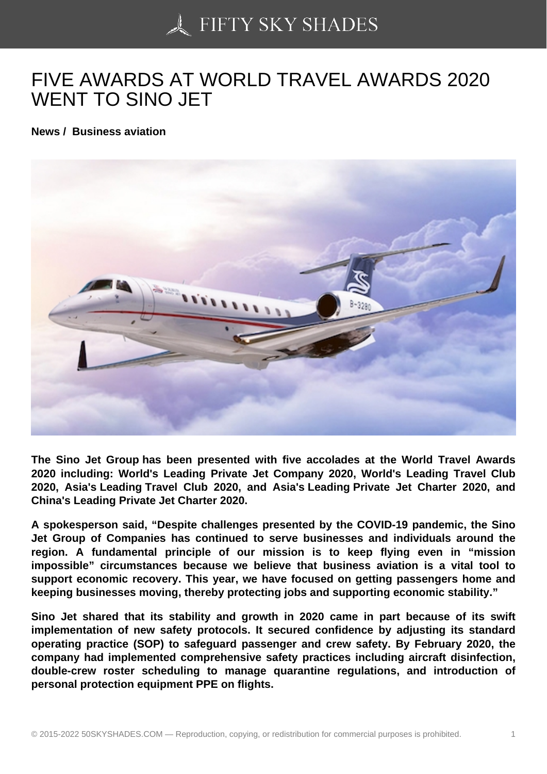## [FIVE AWARDS AT WO](https://50skyshades.com)RLD TRAVEL AWARDS 2020 WENT TO SINO JET

News / Business aviation

The Sino Jet Group has been presented with five accolades at the World Travel Awards 2020 including: World's Leading Private Jet Company 2020, World's Leading Travel Club 2020, Asia's Leading Travel Club 2020, and Asia's Leading Private Jet Charter 2020, and China's Leading Private Jet Charter 2020.

A spokesperson said, "Despite challenges presented by the COVID-19 pandemic, the Sino Jet Group of Companies has continued to serve businesses and individuals around the region. A fundamental principle of our mission is to keep flying even in "mission impossible" circumstances because we believe that business aviation is a vital tool to support economic recovery. This year, we have focused on getting passengers home and keeping businesses moving, thereby protecting jobs and supporting economic stability."

Sino Jet shared that its stability and growth in 2020 came in part because of its swift implementation of new safety protocols. It secured confidence by adjusting its standard operating practice (SOP) to safeguard passenger and crew safety. By February 2020, the company had implemented comprehensive safety practices including aircraft disinfection, double-crew roster scheduling to manage quarantine regulations, and introduction of personal protection equipment PPE on flights.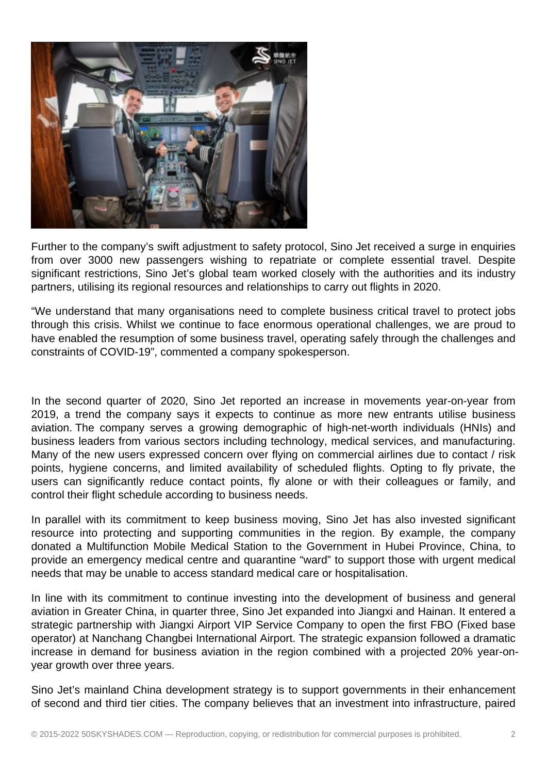

Further to the company's swift adjustment to safety protocol, Sino Jet received a surge in enquiries from over 3000 new passengers wishing to repatriate or complete essential travel. Despite significant restrictions, Sino Jet's global team worked closely with the authorities and its industry partners, utilising its regional resources and relationships to carry out flights in 2020.

"We understand that many organisations need to complete business critical travel to protect jobs through this crisis. Whilst we continue to face enormous operational challenges, we are proud to have enabled the resumption of some business travel, operating safely through the challenges and constraints of COVID-19", commented a company spokesperson.

In the second quarter of 2020, Sino Jet reported an increase in movements year-on-year from 2019, a trend the company says it expects to continue as more new entrants utilise business aviation. The company serves a growing demographic of high-net-worth individuals (HNIs) and business leaders from various sectors including technology, medical services, and manufacturing. Many of the new users expressed concern over flying on commercial airlines due to contact / risk points, hygiene concerns, and limited availability of scheduled flights. Opting to fly private, the users can significantly reduce contact points, fly alone or with their colleagues or family, and control their flight schedule according to business needs.

In parallel with its commitment to keep business moving, Sino Jet has also invested significant resource into protecting and supporting communities in the region. By example, the company donated a Multifunction Mobile Medical Station to the Government in Hubei Province, China, to provide an emergency medical centre and quarantine "ward" to support those with urgent medical needs that may be unable to access standard medical care or hospitalisation.

In line with its commitment to continue investing into the development of business and general aviation in Greater China, in quarter three, Sino Jet expanded into Jiangxi and Hainan. It entered a strategic partnership with Jiangxi Airport VIP Service Company to open the first FBO (Fixed base operator) at Nanchang Changbei International Airport. The strategic expansion followed a dramatic increase in demand for business aviation in the region combined with a projected 20% year-onyear growth over three years.

Sino Jet's mainland China development strategy is to support governments in their enhancement of second and third tier cities. The company believes that an investment into infrastructure, paired